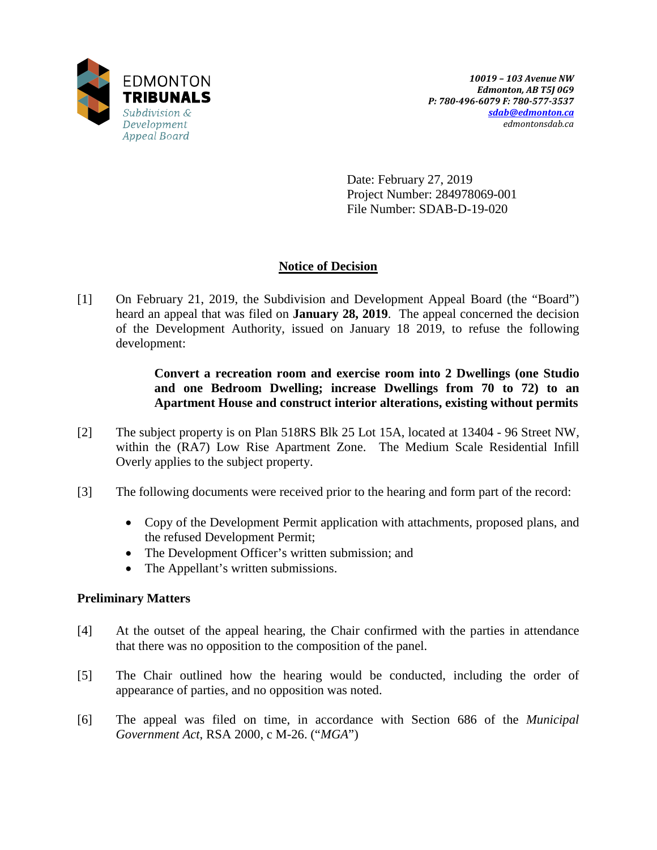

Date: February 27, 2019 Project Number: 284978069-001 File Number: SDAB-D-19-020

# **Notice of Decision**

[1] On February 21, 2019, the Subdivision and Development Appeal Board (the "Board") heard an appeal that was filed on **January 28, 2019**. The appeal concerned the decision of the Development Authority, issued on January 18 2019, to refuse the following development:

> **Convert a recreation room and exercise room into 2 Dwellings (one Studio and one Bedroom Dwelling; increase Dwellings from 70 to 72) to an Apartment House and construct interior alterations, existing without permits**

- [2] The subject property is on Plan 518RS Blk 25 Lot 15A, located at 13404 96 Street NW, within the (RA7) Low Rise Apartment Zone. The Medium Scale Residential Infill Overly applies to the subject property.
- [3] The following documents were received prior to the hearing and form part of the record:
	- Copy of the Development Permit application with attachments, proposed plans, and the refused Development Permit;
	- The Development Officer's written submission; and
	- The Appellant's written submissions.

# **Preliminary Matters**

- [4] At the outset of the appeal hearing, the Chair confirmed with the parties in attendance that there was no opposition to the composition of the panel.
- [5] The Chair outlined how the hearing would be conducted, including the order of appearance of parties, and no opposition was noted.
- [6] The appeal was filed on time, in accordance with Section 686 of the *Municipal Government Act*, RSA 2000, c M-26. ("*MGA*")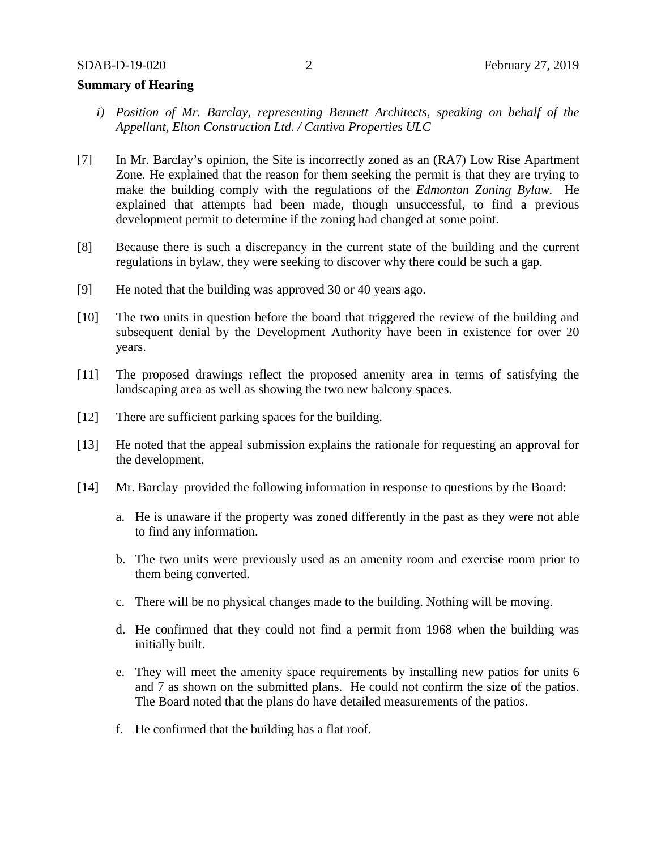# **Summary of Hearing**

- *i) Position of Mr. Barclay, representing Bennett Architects, speaking on behalf of the Appellant, Elton Construction Ltd. / Cantiva Properties ULC*
- [7] In Mr. Barclay's opinion, the Site is incorrectly zoned as an (RA7) Low Rise Apartment Zone. He explained that the reason for them seeking the permit is that they are trying to make the building comply with the regulations of the *Edmonton Zoning Bylaw.* He explained that attempts had been made, though unsuccessful, to find a previous development permit to determine if the zoning had changed at some point.
- [8] Because there is such a discrepancy in the current state of the building and the current regulations in bylaw, they were seeking to discover why there could be such a gap.
- [9] He noted that the building was approved 30 or 40 years ago.
- [10] The two units in question before the board that triggered the review of the building and subsequent denial by the Development Authority have been in existence for over 20 years.
- [11] The proposed drawings reflect the proposed amenity area in terms of satisfying the landscaping area as well as showing the two new balcony spaces.
- [12] There are sufficient parking spaces for the building.
- [13] He noted that the appeal submission explains the rationale for requesting an approval for the development.
- [14] Mr. Barclay provided the following information in response to questions by the Board:
	- a. He is unaware if the property was zoned differently in the past as they were not able to find any information.
	- b. The two units were previously used as an amenity room and exercise room prior to them being converted.
	- c. There will be no physical changes made to the building. Nothing will be moving.
	- d. He confirmed that they could not find a permit from 1968 when the building was initially built.
	- e. They will meet the amenity space requirements by installing new patios for units 6 and 7 as shown on the submitted plans. He could not confirm the size of the patios. The Board noted that the plans do have detailed measurements of the patios.
	- f. He confirmed that the building has a flat roof.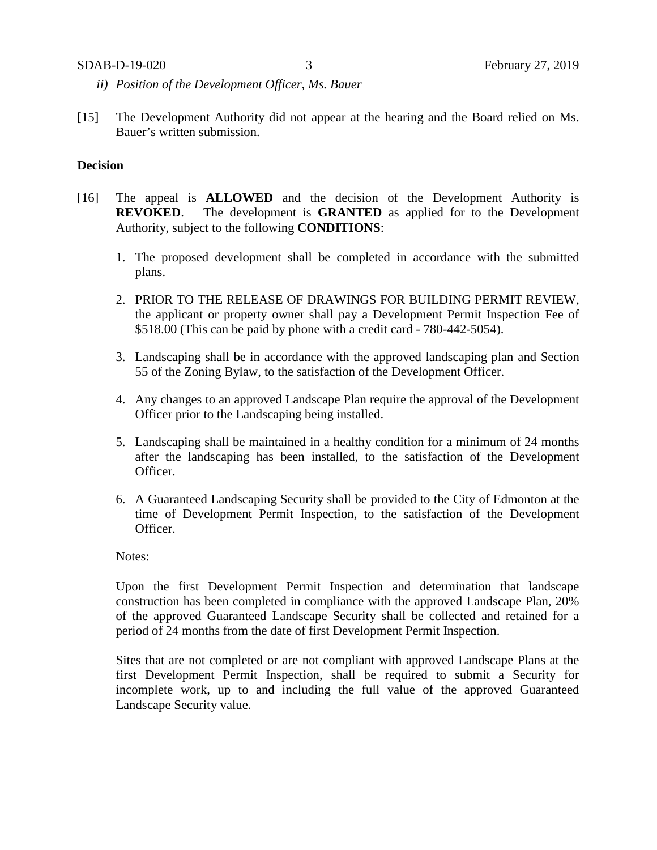- *ii) Position of the Development Officer, Ms. Bauer*
- [15] The Development Authority did not appear at the hearing and the Board relied on Ms. Bauer's written submission.

# **Decision**

- [16] The appeal is **ALLOWED** and the decision of the Development Authority is **REVOKED**. The development is **GRANTED** as applied for to the Development Authority, subject to the following **CONDITIONS**:
	- 1. The proposed development shall be completed in accordance with the submitted plans.
	- 2. PRIOR TO THE RELEASE OF DRAWINGS FOR BUILDING PERMIT REVIEW, the applicant or property owner shall pay a Development Permit Inspection Fee of \$518.00 (This can be paid by phone with a credit card - 780-442-5054).
	- 3. Landscaping shall be in accordance with the approved landscaping plan and Section 55 of the Zoning Bylaw, to the satisfaction of the Development Officer.
	- 4. Any changes to an approved Landscape Plan require the approval of the Development Officer prior to the Landscaping being installed.
	- 5. Landscaping shall be maintained in a healthy condition for a minimum of 24 months after the landscaping has been installed, to the satisfaction of the Development Officer.
	- 6. A Guaranteed Landscaping Security shall be provided to the City of Edmonton at the time of Development Permit Inspection, to the satisfaction of the Development Officer.

Notes:

Upon the first Development Permit Inspection and determination that landscape construction has been completed in compliance with the approved Landscape Plan, 20% of the approved Guaranteed Landscape Security shall be collected and retained for a period of 24 months from the date of first Development Permit Inspection.

Sites that are not completed or are not compliant with approved Landscape Plans at the first Development Permit Inspection, shall be required to submit a Security for incomplete work, up to and including the full value of the approved Guaranteed Landscape Security value.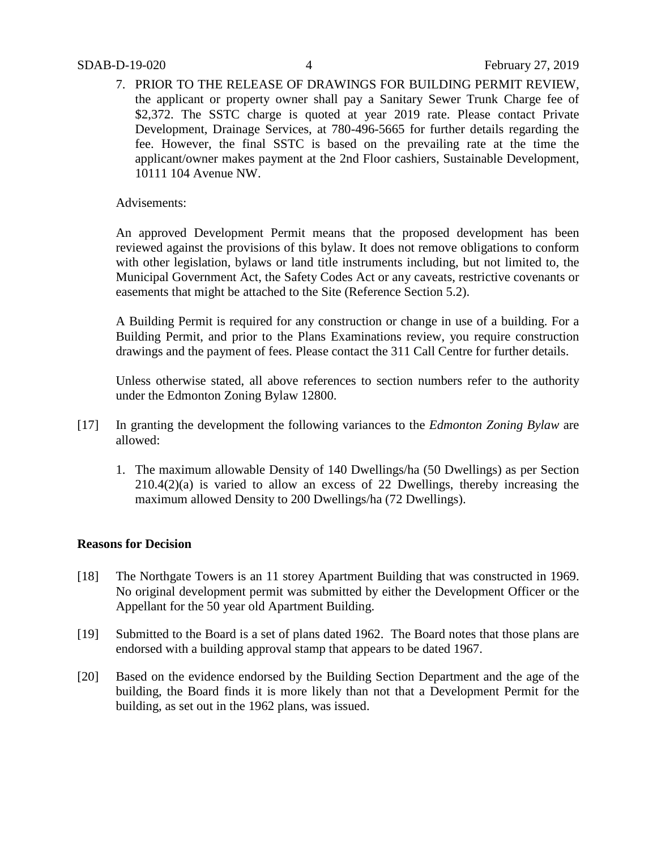7. PRIOR TO THE RELEASE OF DRAWINGS FOR BUILDING PERMIT REVIEW, the applicant or property owner shall pay a Sanitary Sewer Trunk Charge fee of \$2,372. The SSTC charge is quoted at year 2019 rate. Please contact Private Development, Drainage Services, at 780-496-5665 for further details regarding the fee. However, the final SSTC is based on the prevailing rate at the time the applicant/owner makes payment at the 2nd Floor cashiers, Sustainable Development, 10111 104 Avenue NW.

Advisements:

An approved Development Permit means that the proposed development has been reviewed against the provisions of this bylaw. It does not remove obligations to conform with other legislation, bylaws or land title instruments including, but not limited to, the Municipal Government Act, the Safety Codes Act or any caveats, restrictive covenants or easements that might be attached to the Site (Reference Section 5.2).

A Building Permit is required for any construction or change in use of a building. For a Building Permit, and prior to the Plans Examinations review, you require construction drawings and the payment of fees. Please contact the 311 Call Centre for further details.

Unless otherwise stated, all above references to section numbers refer to the authority under the Edmonton Zoning Bylaw 12800.

- [17] In granting the development the following variances to the *Edmonton Zoning Bylaw* are allowed:
	- 1. The maximum allowable Density of 140 Dwellings/ha (50 Dwellings) as per Section 210.4(2)(a) is varied to allow an excess of 22 Dwellings, thereby increasing the maximum allowed Density to 200 Dwellings/ha (72 Dwellings).

# **Reasons for Decision**

- [18] The Northgate Towers is an 11 storey Apartment Building that was constructed in 1969. No original development permit was submitted by either the Development Officer or the Appellant for the 50 year old Apartment Building.
- [19] Submitted to the Board is a set of plans dated 1962. The Board notes that those plans are endorsed with a building approval stamp that appears to be dated 1967.
- [20] Based on the evidence endorsed by the Building Section Department and the age of the building, the Board finds it is more likely than not that a Development Permit for the building, as set out in the 1962 plans, was issued.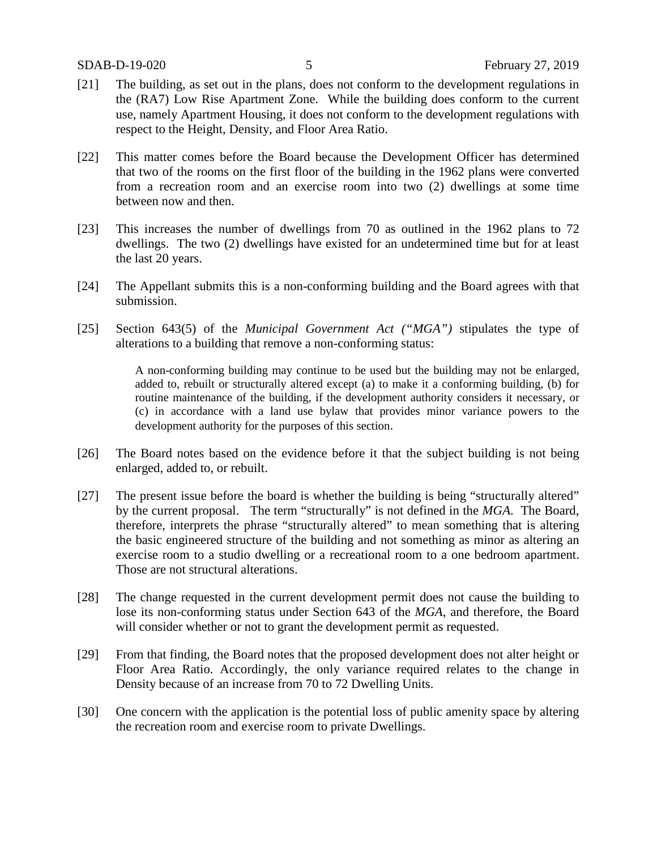- [21] The building, as set out in the plans, does not conform to the development regulations in the (RA7) Low Rise Apartment Zone. While the building does conform to the current use, namely Apartment Housing, it does not conform to the development regulations with respect to the Height, Density, and Floor Area Ratio.
- [22] This matter comes before the Board because the Development Officer has determined that two of the rooms on the first floor of the building in the 1962 plans were converted from a recreation room and an exercise room into two (2) dwellings at some time between now and then.
- [23] This increases the number of dwellings from 70 as outlined in the 1962 plans to 72 dwellings. The two (2) dwellings have existed for an undetermined time but for at least the last 20 years.
- [24] The Appellant submits this is a non-conforming building and the Board agrees with that submission.
- [25] Section 643(5) of the *Municipal Government Act ("MGA")* stipulates the type of alterations to a building that remove a non-conforming status:

A non-conforming building may continue to be used but the building may not be enlarged, added to, rebuilt or structurally altered except (a) to make it a conforming building, (b) for routine maintenance of the building, if the development authority considers it necessary, or (c) in accordance with a land use bylaw that provides minor variance powers to the development authority for the purposes of this section.

- [26] The Board notes based on the evidence before it that the subject building is not being enlarged, added to, or rebuilt.
- [27] The present issue before the board is whether the building is being "structurally altered" by the current proposal. The term "structurally" is not defined in the *MGA*. The Board, therefore, interprets the phrase "structurally altered" to mean something that is altering the basic engineered structure of the building and not something as minor as altering an exercise room to a studio dwelling or a recreational room to a one bedroom apartment. Those are not structural alterations.
- [28] The change requested in the current development permit does not cause the building to lose its non-conforming status under Section 643 of the *MGA*, and therefore, the Board will consider whether or not to grant the development permit as requested.
- [29] From that finding, the Board notes that the proposed development does not alter height or Floor Area Ratio. Accordingly, the only variance required relates to the change in Density because of an increase from 70 to 72 Dwelling Units.
- [30] One concern with the application is the potential loss of public amenity space by altering the recreation room and exercise room to private Dwellings.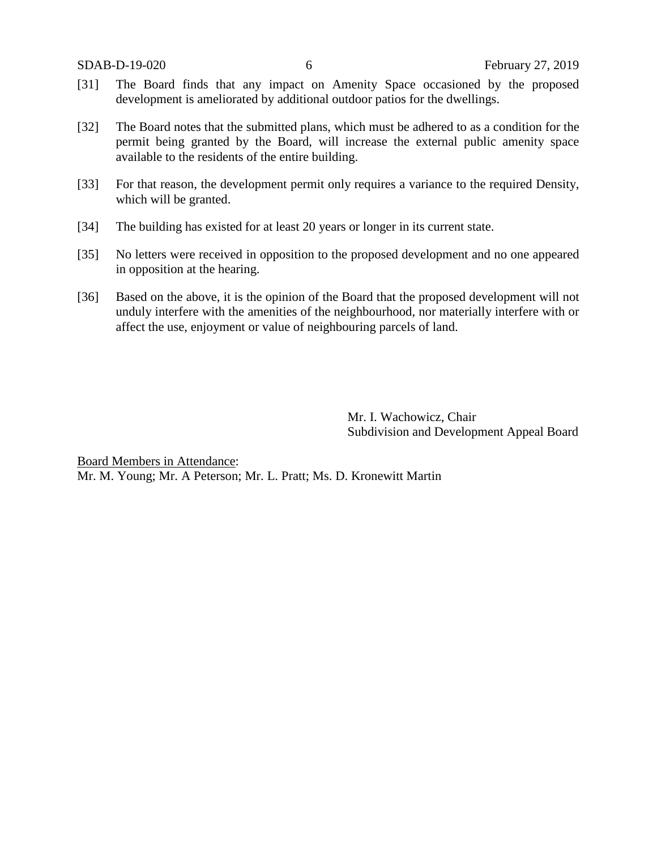- [31] The Board finds that any impact on Amenity Space occasioned by the proposed development is ameliorated by additional outdoor patios for the dwellings.
- [32] The Board notes that the submitted plans, which must be adhered to as a condition for the permit being granted by the Board, will increase the external public amenity space available to the residents of the entire building.
- [33] For that reason, the development permit only requires a variance to the required Density, which will be granted.
- [34] The building has existed for at least 20 years or longer in its current state.
- [35] No letters were received in opposition to the proposed development and no one appeared in opposition at the hearing.
- [36] Based on the above, it is the opinion of the Board that the proposed development will not unduly interfere with the amenities of the neighbourhood, nor materially interfere with or affect the use, enjoyment or value of neighbouring parcels of land.

Mr. I. Wachowicz, Chair Subdivision and Development Appeal Board

Board Members in Attendance: Mr. M. Young; Mr. A Peterson; Mr. L. Pratt; Ms. D. Kronewitt Martin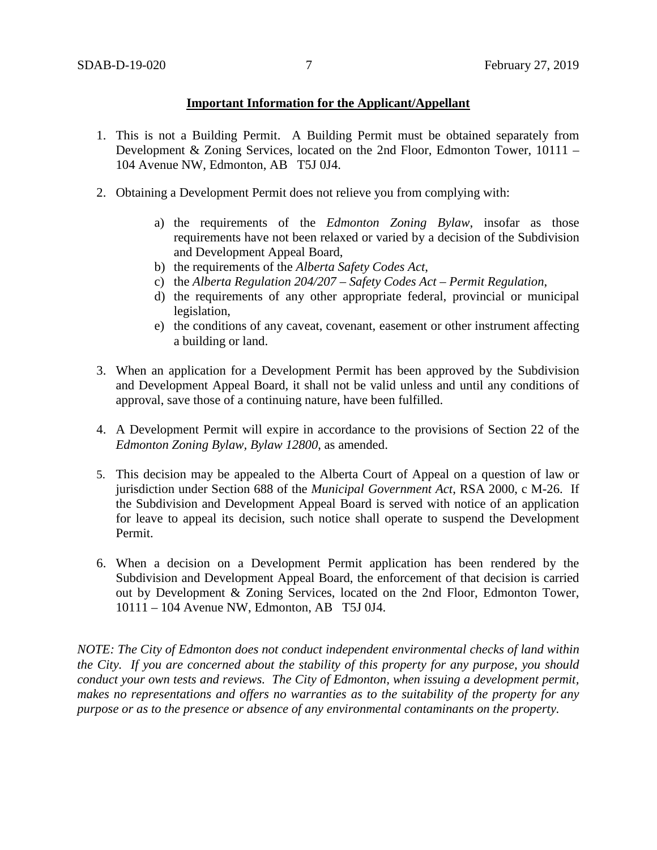# **Important Information for the Applicant/Appellant**

- 1. This is not a Building Permit. A Building Permit must be obtained separately from Development & Zoning Services, located on the 2nd Floor, Edmonton Tower, 10111 – 104 Avenue NW, Edmonton, AB T5J 0J4.
- 2. Obtaining a Development Permit does not relieve you from complying with:
	- a) the requirements of the *Edmonton Zoning Bylaw*, insofar as those requirements have not been relaxed or varied by a decision of the Subdivision and Development Appeal Board,
	- b) the requirements of the *Alberta Safety Codes Act*,
	- c) the *Alberta Regulation 204/207 – Safety Codes Act – Permit Regulation*,
	- d) the requirements of any other appropriate federal, provincial or municipal legislation,
	- e) the conditions of any caveat, covenant, easement or other instrument affecting a building or land.
- 3. When an application for a Development Permit has been approved by the Subdivision and Development Appeal Board, it shall not be valid unless and until any conditions of approval, save those of a continuing nature, have been fulfilled.
- 4. A Development Permit will expire in accordance to the provisions of Section 22 of the *Edmonton Zoning Bylaw, Bylaw 12800*, as amended.
- 5. This decision may be appealed to the Alberta Court of Appeal on a question of law or jurisdiction under Section 688 of the *Municipal Government Act*, RSA 2000, c M-26. If the Subdivision and Development Appeal Board is served with notice of an application for leave to appeal its decision, such notice shall operate to suspend the Development Permit.
- 6. When a decision on a Development Permit application has been rendered by the Subdivision and Development Appeal Board, the enforcement of that decision is carried out by Development & Zoning Services, located on the 2nd Floor, Edmonton Tower, 10111 – 104 Avenue NW, Edmonton, AB T5J 0J4.

*NOTE: The City of Edmonton does not conduct independent environmental checks of land within the City. If you are concerned about the stability of this property for any purpose, you should conduct your own tests and reviews. The City of Edmonton, when issuing a development permit, makes no representations and offers no warranties as to the suitability of the property for any purpose or as to the presence or absence of any environmental contaminants on the property.*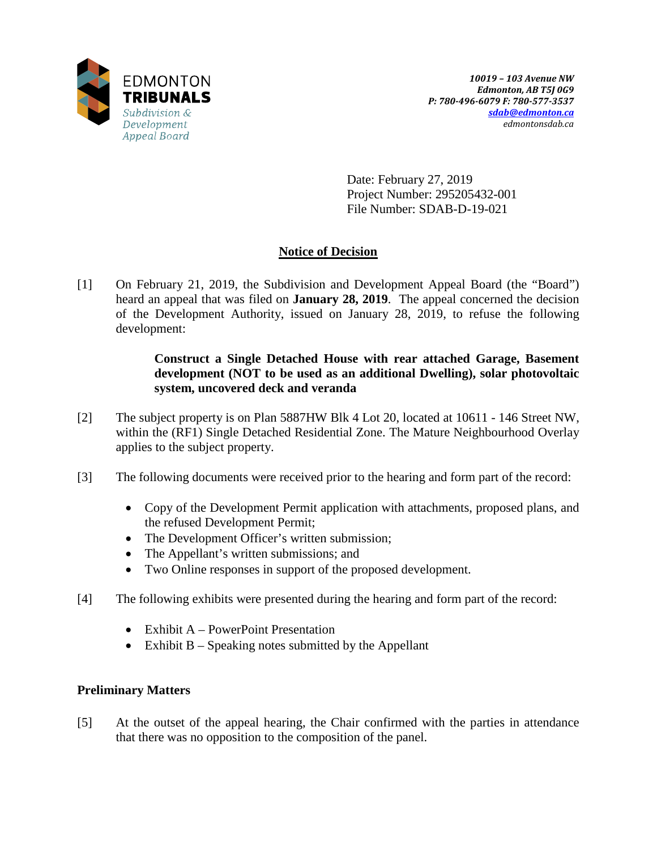

Date: February 27, 2019 Project Number: 295205432-001 File Number: SDAB-D-19-021

# **Notice of Decision**

[1] On February 21, 2019, the Subdivision and Development Appeal Board (the "Board") heard an appeal that was filed on **January 28, 2019**. The appeal concerned the decision of the Development Authority, issued on January 28, 2019, to refuse the following development:

# **Construct a Single Detached House with rear attached Garage, Basement development (NOT to be used as an additional Dwelling), solar photovoltaic system, uncovered deck and veranda**

- [2] The subject property is on Plan 5887HW Blk 4 Lot 20, located at 10611 146 Street NW, within the (RF1) Single Detached Residential Zone. The Mature Neighbourhood Overlay applies to the subject property.
- [3] The following documents were received prior to the hearing and form part of the record:
	- Copy of the Development Permit application with attachments, proposed plans, and the refused Development Permit;
	- The Development Officer's written submission;
	- The Appellant's written submissions; and
	- Two Online responses in support of the proposed development.
- [4] The following exhibits were presented during the hearing and form part of the record:
	- Exhibit A PowerPoint Presentation
	- Exhibit B Speaking notes submitted by the Appellant

# **Preliminary Matters**

[5] At the outset of the appeal hearing, the Chair confirmed with the parties in attendance that there was no opposition to the composition of the panel.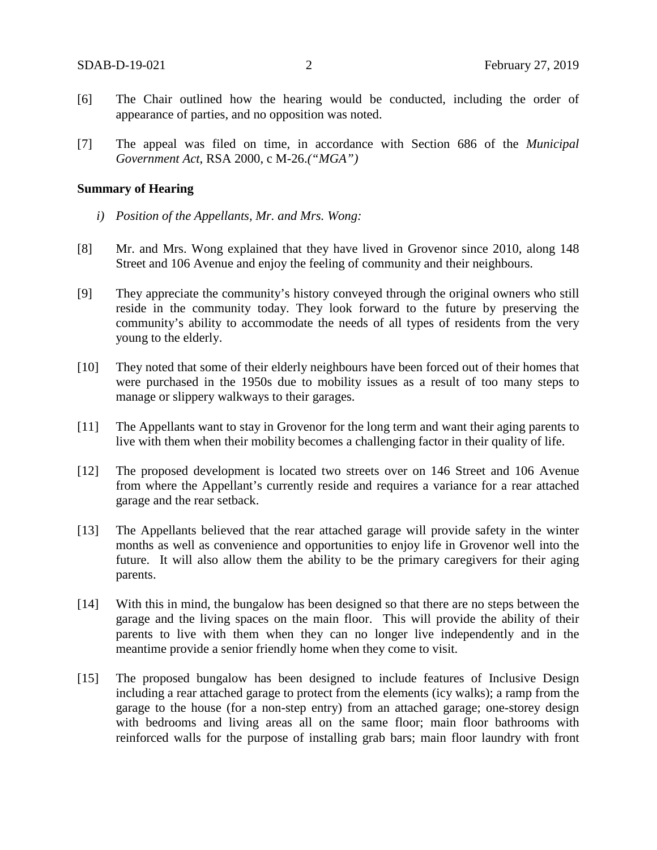- [6] The Chair outlined how the hearing would be conducted, including the order of appearance of parties, and no opposition was noted.
- [7] The appeal was filed on time, in accordance with Section 686 of the *Municipal Government Act*, RSA 2000, c M-26.*("MGA")*

#### **Summary of Hearing**

- *i) Position of the Appellants, Mr. and Mrs. Wong:*
- [8] Mr. and Mrs. Wong explained that they have lived in Grovenor since 2010, along 148 Street and 106 Avenue and enjoy the feeling of community and their neighbours.
- [9] They appreciate the community's history conveyed through the original owners who still reside in the community today. They look forward to the future by preserving the community's ability to accommodate the needs of all types of residents from the very young to the elderly.
- [10] They noted that some of their elderly neighbours have been forced out of their homes that were purchased in the 1950s due to mobility issues as a result of too many steps to manage or slippery walkways to their garages.
- [11] The Appellants want to stay in Grovenor for the long term and want their aging parents to live with them when their mobility becomes a challenging factor in their quality of life.
- [12] The proposed development is located two streets over on 146 Street and 106 Avenue from where the Appellant's currently reside and requires a variance for a rear attached garage and the rear setback.
- [13] The Appellants believed that the rear attached garage will provide safety in the winter months as well as convenience and opportunities to enjoy life in Grovenor well into the future. It will also allow them the ability to be the primary caregivers for their aging parents.
- [14] With this in mind, the bungalow has been designed so that there are no steps between the garage and the living spaces on the main floor. This will provide the ability of their parents to live with them when they can no longer live independently and in the meantime provide a senior friendly home when they come to visit.
- [15] The proposed bungalow has been designed to include features of Inclusive Design including a rear attached garage to protect from the elements (icy walks); a ramp from the garage to the house (for a non-step entry) from an attached garage; one-storey design with bedrooms and living areas all on the same floor; main floor bathrooms with reinforced walls for the purpose of installing grab bars; main floor laundry with front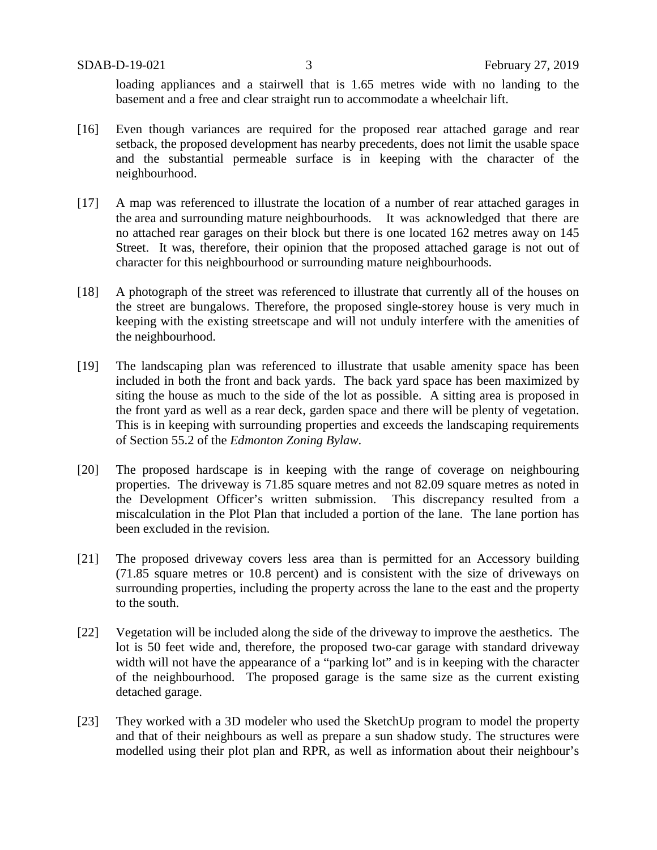loading appliances and a stairwell that is 1.65 metres wide with no landing to the basement and a free and clear straight run to accommodate a wheelchair lift.

- [16] Even though variances are required for the proposed rear attached garage and rear setback, the proposed development has nearby precedents, does not limit the usable space and the substantial permeable surface is in keeping with the character of the neighbourhood.
- [17] A map was referenced to illustrate the location of a number of rear attached garages in the area and surrounding mature neighbourhoods. It was acknowledged that there are no attached rear garages on their block but there is one located 162 metres away on 145 Street. It was, therefore, their opinion that the proposed attached garage is not out of character for this neighbourhood or surrounding mature neighbourhoods.
- [18] A photograph of the street was referenced to illustrate that currently all of the houses on the street are bungalows. Therefore, the proposed single-storey house is very much in keeping with the existing streetscape and will not unduly interfere with the amenities of the neighbourhood.
- [19] The landscaping plan was referenced to illustrate that usable amenity space has been included in both the front and back yards. The back yard space has been maximized by siting the house as much to the side of the lot as possible. A sitting area is proposed in the front yard as well as a rear deck, garden space and there will be plenty of vegetation. This is in keeping with surrounding properties and exceeds the landscaping requirements of Section 55.2 of the *Edmonton Zoning Bylaw*.
- [20] The proposed hardscape is in keeping with the range of coverage on neighbouring properties. The driveway is 71.85 square metres and not 82.09 square metres as noted in the Development Officer's written submission. This discrepancy resulted from a miscalculation in the Plot Plan that included a portion of the lane. The lane portion has been excluded in the revision.
- [21] The proposed driveway covers less area than is permitted for an Accessory building (71.85 square metres or 10.8 percent) and is consistent with the size of driveways on surrounding properties, including the property across the lane to the east and the property to the south.
- [22] Vegetation will be included along the side of the driveway to improve the aesthetics. The lot is 50 feet wide and, therefore, the proposed two-car garage with standard driveway width will not have the appearance of a "parking lot" and is in keeping with the character of the neighbourhood. The proposed garage is the same size as the current existing detached garage.
- [23] They worked with a 3D modeler who used the SketchUp program to model the property and that of their neighbours as well as prepare a sun shadow study. The structures were modelled using their plot plan and RPR, as well as information about their neighbour's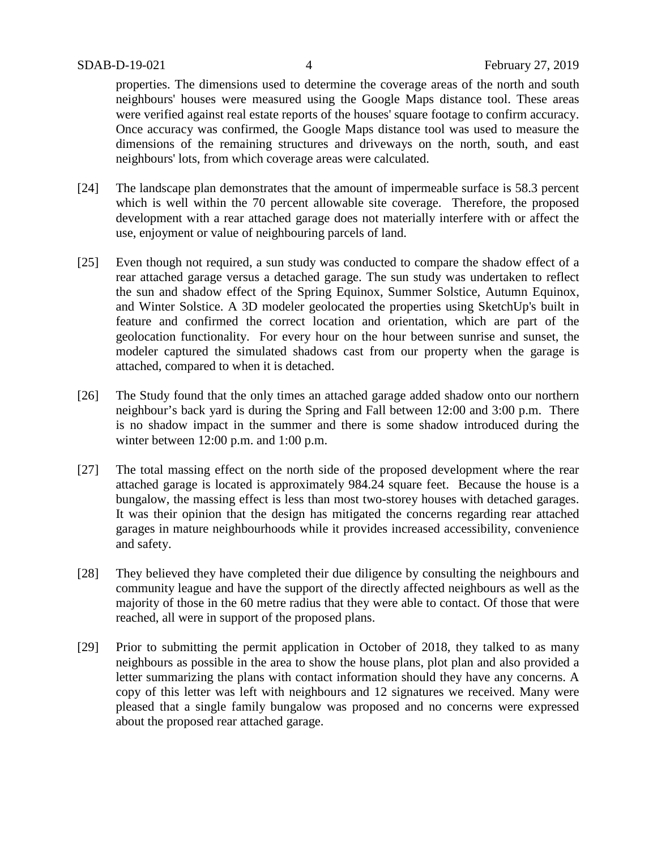properties. The dimensions used to determine the coverage areas of the north and south neighbours' houses were measured using the Google Maps distance tool. These areas were verified against real estate reports of the houses' square footage to confirm accuracy. Once accuracy was confirmed, the Google Maps distance tool was used to measure the dimensions of the remaining structures and driveways on the north, south, and east neighbours' lots, from which coverage areas were calculated.

- [24] The landscape plan demonstrates that the amount of impermeable surface is 58.3 percent which is well within the 70 percent allowable site coverage. Therefore, the proposed development with a rear attached garage does not materially interfere with or affect the use, enjoyment or value of neighbouring parcels of land.
- [25] Even though not required, a sun study was conducted to compare the shadow effect of a rear attached garage versus a detached garage. The sun study was undertaken to reflect the sun and shadow effect of the Spring Equinox, Summer Solstice, Autumn Equinox, and Winter Solstice. A 3D modeler geolocated the properties using SketchUp's built in feature and confirmed the correct location and orientation, which are part of the geolocation functionality. For every hour on the hour between sunrise and sunset, the modeler captured the simulated shadows cast from our property when the garage is attached, compared to when it is detached.
- [26] The Study found that the only times an attached garage added shadow onto our northern neighbour's back yard is during the Spring and Fall between 12:00 and 3:00 p.m. There is no shadow impact in the summer and there is some shadow introduced during the winter between 12:00 p.m. and 1:00 p.m.
- [27] The total massing effect on the north side of the proposed development where the rear attached garage is located is approximately 984.24 square feet. Because the house is a bungalow, the massing effect is less than most two-storey houses with detached garages. It was their opinion that the design has mitigated the concerns regarding rear attached garages in mature neighbourhoods while it provides increased accessibility, convenience and safety.
- [28] They believed they have completed their due diligence by consulting the neighbours and community league and have the support of the directly affected neighbours as well as the majority of those in the 60 metre radius that they were able to contact. Of those that were reached, all were in support of the proposed plans.
- [29] Prior to submitting the permit application in October of 2018, they talked to as many neighbours as possible in the area to show the house plans, plot plan and also provided a letter summarizing the plans with contact information should they have any concerns. A copy of this letter was left with neighbours and 12 signatures we received. Many were pleased that a single family bungalow was proposed and no concerns were expressed about the proposed rear attached garage.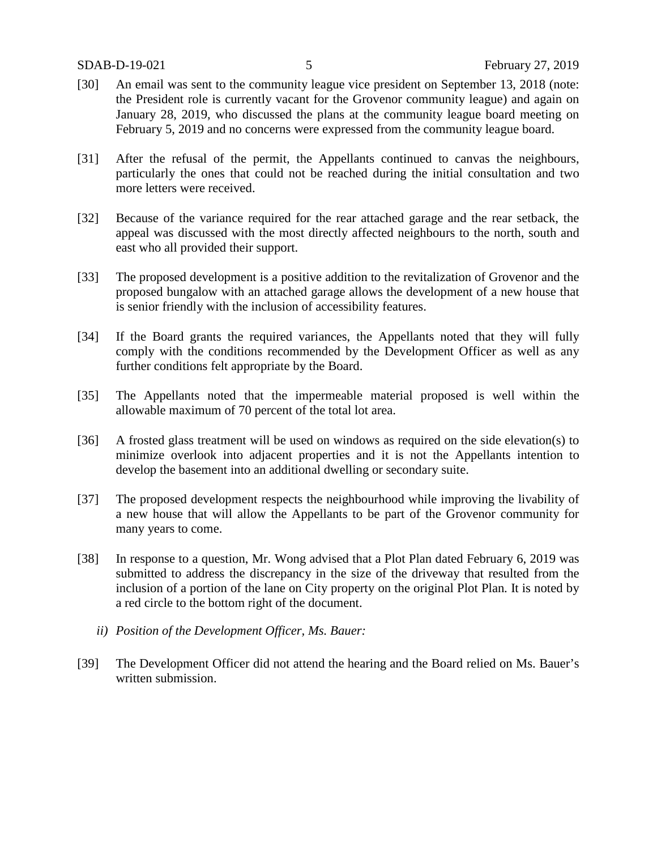- [30] An email was sent to the community league vice president on September 13, 2018 (note: the President role is currently vacant for the Grovenor community league) and again on January 28, 2019, who discussed the plans at the community league board meeting on February 5, 2019 and no concerns were expressed from the community league board.
- [31] After the refusal of the permit, the Appellants continued to canvas the neighbours, particularly the ones that could not be reached during the initial consultation and two more letters were received.
- [32] Because of the variance required for the rear attached garage and the rear setback, the appeal was discussed with the most directly affected neighbours to the north, south and east who all provided their support.
- [33] The proposed development is a positive addition to the revitalization of Grovenor and the proposed bungalow with an attached garage allows the development of a new house that is senior friendly with the inclusion of accessibility features.
- [34] If the Board grants the required variances, the Appellants noted that they will fully comply with the conditions recommended by the Development Officer as well as any further conditions felt appropriate by the Board.
- [35] The Appellants noted that the impermeable material proposed is well within the allowable maximum of 70 percent of the total lot area.
- [36] A frosted glass treatment will be used on windows as required on the side elevation(s) to minimize overlook into adjacent properties and it is not the Appellants intention to develop the basement into an additional dwelling or secondary suite.
- [37] The proposed development respects the neighbourhood while improving the livability of a new house that will allow the Appellants to be part of the Grovenor community for many years to come.
- [38] In response to a question, Mr. Wong advised that a Plot Plan dated February 6, 2019 was submitted to address the discrepancy in the size of the driveway that resulted from the inclusion of a portion of the lane on City property on the original Plot Plan. It is noted by a red circle to the bottom right of the document.
	- *ii) Position of the Development Officer, Ms. Bauer:*
- [39] The Development Officer did not attend the hearing and the Board relied on Ms. Bauer's written submission.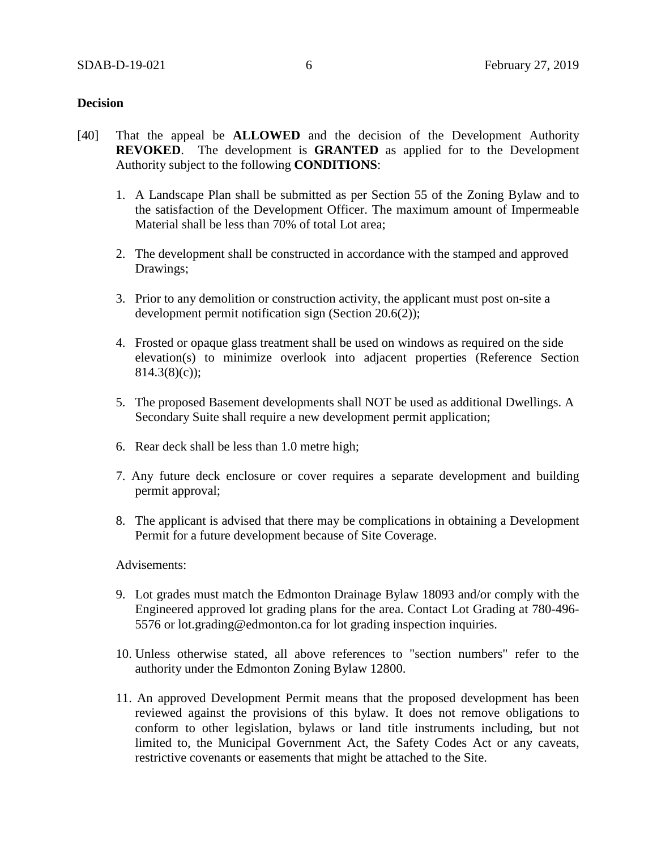### **Decision**

- [40] That the appeal be **ALLOWED** and the decision of the Development Authority **REVOKED**. The development is **GRANTED** as applied for to the Development Authority subject to the following **CONDITIONS**:
	- 1. A Landscape Plan shall be submitted as per Section 55 of the Zoning Bylaw and to the satisfaction of the Development Officer. The maximum amount of Impermeable Material shall be less than 70% of total Lot area;
	- 2. The development shall be constructed in accordance with the stamped and approved Drawings;
	- 3. Prior to any demolition or construction activity, the applicant must post on-site a development permit notification sign (Section 20.6(2));
	- 4. Frosted or opaque glass treatment shall be used on windows as required on the side elevation(s) to minimize overlook into adjacent properties (Reference Section  $814.3(8)(c)$ ;
	- 5. The proposed Basement developments shall NOT be used as additional Dwellings. A Secondary Suite shall require a new development permit application;
	- 6. Rear deck shall be less than 1.0 metre high;
	- 7. Any future deck enclosure or cover requires a separate development and building permit approval;
	- 8. The applicant is advised that there may be complications in obtaining a Development Permit for a future development because of Site Coverage.

Advisements:

- 9. Lot grades must match the Edmonton Drainage Bylaw 18093 and/or comply with the Engineered approved lot grading plans for the area. Contact Lot Grading at 780-496- 5576 or lot.grading@edmonton.ca for lot grading inspection inquiries.
- 10. Unless otherwise stated, all above references to "section numbers" refer to the authority under the Edmonton Zoning Bylaw 12800.
- 11. An approved Development Permit means that the proposed development has been reviewed against the provisions of this bylaw. It does not remove obligations to conform to other legislation, bylaws or land title instruments including, but not limited to, the Municipal Government Act, the Safety Codes Act or any caveats, restrictive covenants or easements that might be attached to the Site.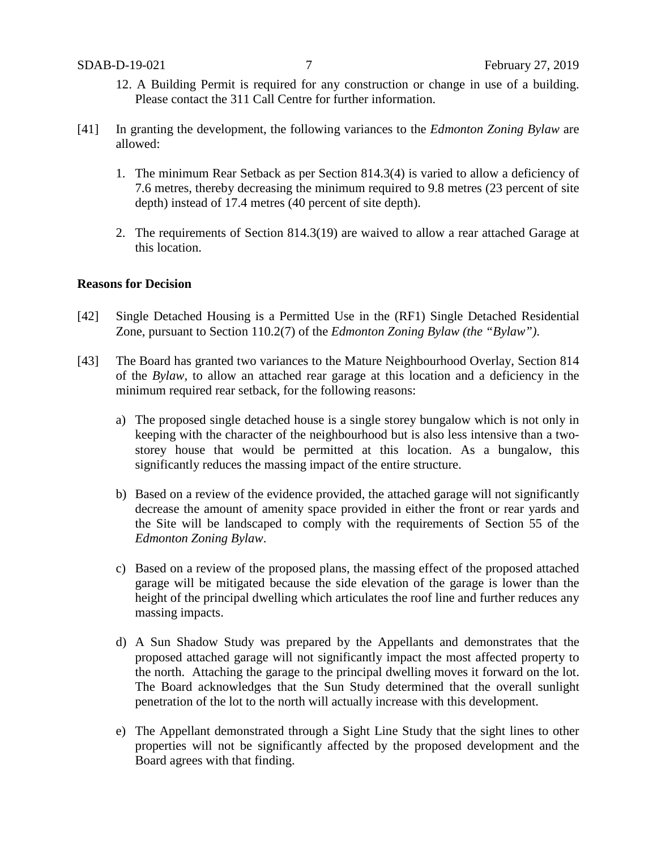- 12. A Building Permit is required for any construction or change in use of a building. Please contact the 311 Call Centre for further information.
- [41] In granting the development, the following variances to the *Edmonton Zoning Bylaw* are allowed:
	- 1. The minimum Rear Setback as per Section 814.3(4) is varied to allow a deficiency of 7.6 metres, thereby decreasing the minimum required to 9.8 metres (23 percent of site depth) instead of 17.4 metres (40 percent of site depth).
	- 2. The requirements of Section 814.3(19) are waived to allow a rear attached Garage at this location.

## **Reasons for Decision**

- [42] Single Detached Housing is a Permitted Use in the (RF1) Single Detached Residential Zone, pursuant to Section 110.2(7) of the *Edmonton Zoning Bylaw (the "Bylaw")*.
- [43] The Board has granted two variances to the Mature Neighbourhood Overlay, Section 814 of the *Bylaw,* to allow an attached rear garage at this location and a deficiency in the minimum required rear setback*,* for the following reasons:
	- a) The proposed single detached house is a single storey bungalow which is not only in keeping with the character of the neighbourhood but is also less intensive than a twostorey house that would be permitted at this location. As a bungalow, this significantly reduces the massing impact of the entire structure.
	- b) Based on a review of the evidence provided, the attached garage will not significantly decrease the amount of amenity space provided in either the front or rear yards and the Site will be landscaped to comply with the requirements of Section 55 of the *Edmonton Zoning Bylaw*.
	- c) Based on a review of the proposed plans, the massing effect of the proposed attached garage will be mitigated because the side elevation of the garage is lower than the height of the principal dwelling which articulates the roof line and further reduces any massing impacts.
	- d) A Sun Shadow Study was prepared by the Appellants and demonstrates that the proposed attached garage will not significantly impact the most affected property to the north. Attaching the garage to the principal dwelling moves it forward on the lot. The Board acknowledges that the Sun Study determined that the overall sunlight penetration of the lot to the north will actually increase with this development.
	- e) The Appellant demonstrated through a Sight Line Study that the sight lines to other properties will not be significantly affected by the proposed development and the Board agrees with that finding.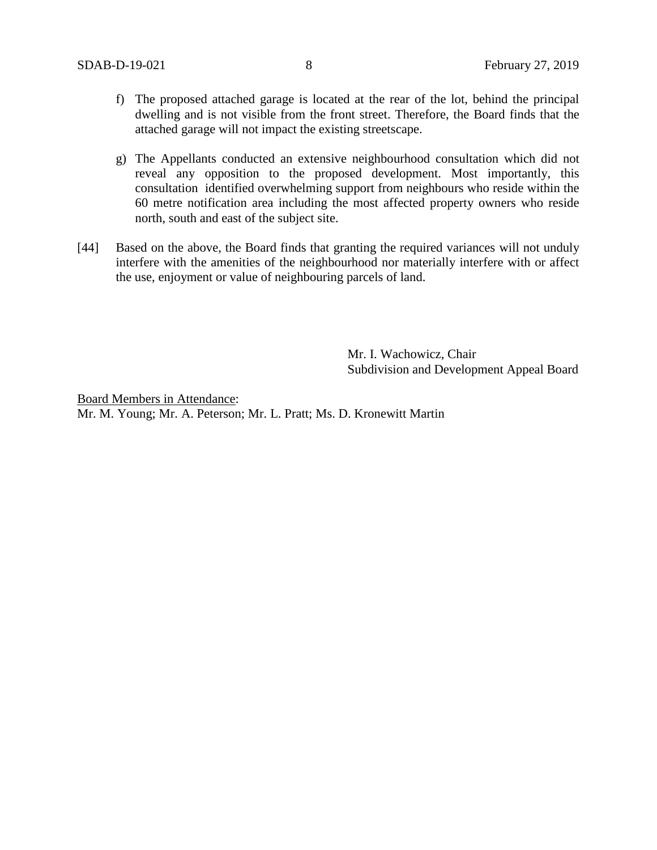- f) The proposed attached garage is located at the rear of the lot, behind the principal dwelling and is not visible from the front street. Therefore, the Board finds that the attached garage will not impact the existing streetscape.
- g) The Appellants conducted an extensive neighbourhood consultation which did not reveal any opposition to the proposed development. Most importantly, this consultation identified overwhelming support from neighbours who reside within the 60 metre notification area including the most affected property owners who reside north, south and east of the subject site.
- [44] Based on the above, the Board finds that granting the required variances will not unduly interfere with the amenities of the neighbourhood nor materially interfere with or affect the use, enjoyment or value of neighbouring parcels of land.

Mr. I. Wachowicz, Chair Subdivision and Development Appeal Board

Board Members in Attendance: Mr. M. Young; Mr. A. Peterson; Mr. L. Pratt; Ms. D. Kronewitt Martin